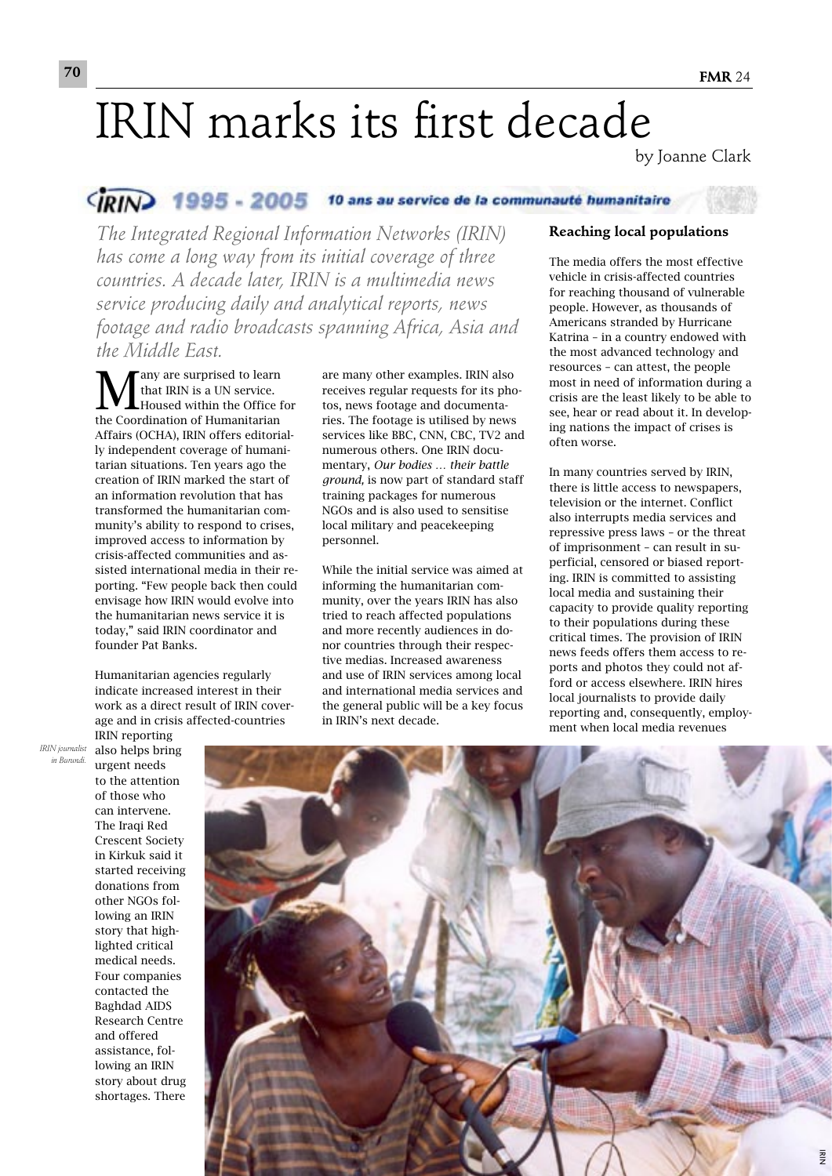# IRIN marks its first decade

by Joanne Clark

### CIRIN 1995 - 2005 10 ans au service de la communauté humanitaire

*The Integrated Regional Information Networks (IRIN) has come a long way from its initial coverage of three countries. A decade later, IRIN is a multimedia news service producing daily and analytical reports, news footage and radio broadcasts spanning Africa, Asia and the Middle East.* 

**M**any are surprised to learn<br>that IRIN is a UN service.<br>Housed within the Office f that IRIN is a UN service. Housed within the Office for the Coordination of Humanitarian Affairs (OCHA), IRIN offers editorially independent coverage of humanitarian situations. Ten years ago the creation of IRIN marked the start of an information revolution that has transformed the humanitarian community's ability to respond to crises, improved access to information by crisis-affected communities and assisted international media in their reporting. "Few people back then could envisage how IRIN would evolve into the humanitarian news service it is today," said IRIN coordinator and founder Pat Banks.

Humanitarian agencies regularly indicate increased interest in their work as a direct result of IRIN coverage and in crisis affected-countries

are many other examples. IRIN also receives regular requests for its photos, news footage and documentaries. The footage is utilised by news services like BBC, CNN, CBC, TV2 and numerous others. One IRIN documentary, *Our bodies … their battle ground,* is now part of standard staff training packages for numerous NGOs and is also used to sensitise local military and peacekeeping personnel.

While the initial service was aimed at informing the humanitarian community, over the years IRIN has also tried to reach affected populations and more recently audiences in donor countries through their respective medias. Increased awareness and use of IRIN services among local and international media services and the general public will be a key focus in IRIN's next decade.

#### **Reaching local populations**

The media offers the most effective vehicle in crisis-affected countries for reaching thousand of vulnerable people. However, as thousands of Americans stranded by Hurricane Katrina – in a country endowed with the most advanced technology and resources – can attest, the people most in need of information during a crisis are the least likely to be able to see, hear or read about it. In developing nations the impact of crises is often worse.

In many countries served by IRIN, there is little access to newspapers, television or the internet. Conflict also interrupts media services and repressive press laws – or the threat of imprisonment – can result in superficial, censored or biased reporting. IRIN is committed to assisting local media and sustaining their capacity to provide quality reporting to their populations during these critical times. The provision of IRIN news feeds offers them access to reports and photos they could not afford or access elsewhere. IRIN hires local journalists to provide daily reporting and, consequently, employment when local media revenues

*IRIN journalist in Burundi.*

also helps bring urgent needs to the attention of those who can intervene. The Iraqi Red Crescent Society in Kirkuk said it started receiving donations from other NGOs following an IRIN story that highlighted critical medical needs. Four companies contacted the Baghdad AIDS Research Centre and offered assistance, following an IRIN story about drug shortages. There

IRIN reporting